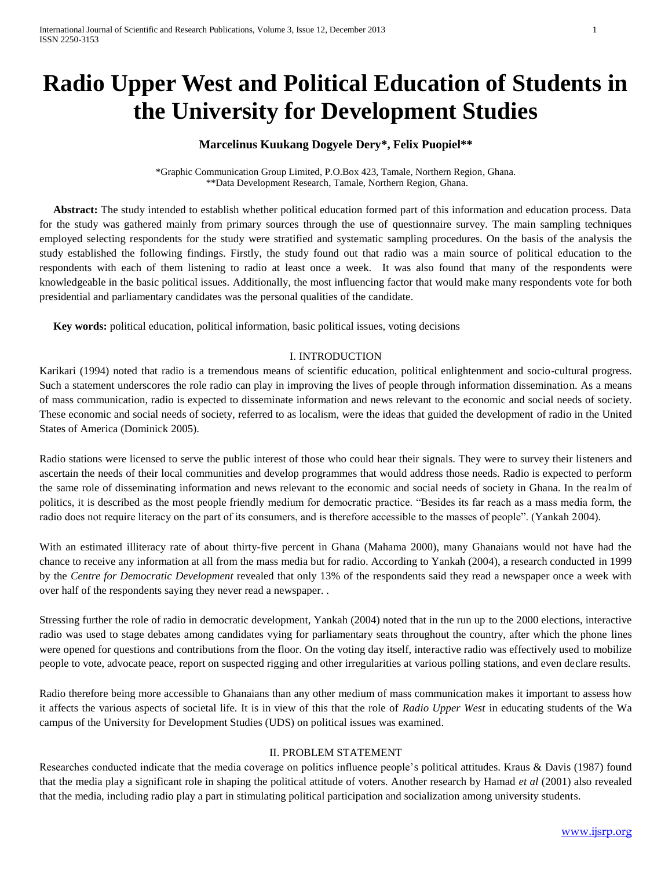# **Radio Upper West and Political Education of Students in the University for Development Studies**

## **Marcelinus Kuukang Dogyele Dery\*, Felix Puopiel\*\***

\*Graphic Communication Group Limited, P.O.Box 423, Tamale, Northern Region, Ghana. \*\*Data Development Research, Tamale, Northern Region, Ghana.

 **Abstract:** The study intended to establish whether political education formed part of this information and education process. Data for the study was gathered mainly from primary sources through the use of questionnaire survey. The main sampling techniques employed selecting respondents for the study were stratified and systematic sampling procedures. On the basis of the analysis the study established the following findings. Firstly, the study found out that radio was a main source of political education to the respondents with each of them listening to radio at least once a week. It was also found that many of the respondents were knowledgeable in the basic political issues. Additionally, the most influencing factor that would make many respondents vote for both presidential and parliamentary candidates was the personal qualities of the candidate.

 **Key words:** political education, political information, basic political issues, voting decisions

## I. INTRODUCTION

Karikari (1994) noted that radio is a tremendous means of scientific education, political enlightenment and socio-cultural progress. Such a statement underscores the role radio can play in improving the lives of people through information dissemination. As a means of mass communication, radio is expected to disseminate information and news relevant to the economic and social needs of society. These economic and social needs of society, referred to as localism, were the ideas that guided the development of radio in the United States of America (Dominick 2005).

Radio stations were licensed to serve the public interest of those who could hear their signals. They were to survey their listeners and ascertain the needs of their local communities and develop programmes that would address those needs. Radio is expected to perform the same role of disseminating information and news relevant to the economic and social needs of society in Ghana. In the realm of politics, it is described as the most people friendly medium for democratic practice. "Besides its far reach as a mass media form, the radio does not require literacy on the part of its consumers, and is therefore accessible to the masses of people". (Yankah 2004).

With an estimated illiteracy rate of about thirty-five percent in Ghana (Mahama 2000), many Ghanaians would not have had the chance to receive any information at all from the mass media but for radio. According to Yankah (2004), a research conducted in 1999 by the *Centre for Democratic Development* revealed that only 13% of the respondents said they read a newspaper once a week with over half of the respondents saying they never read a newspaper. .

Stressing further the role of radio in democratic development, Yankah (2004) noted that in the run up to the 2000 elections, interactive radio was used to stage debates among candidates vying for parliamentary seats throughout the country, after which the phone lines were opened for questions and contributions from the floor. On the voting day itself, interactive radio was effectively used to mobilize people to vote, advocate peace, report on suspected rigging and other irregularities at various polling stations, and even declare results.

Radio therefore being more accessible to Ghanaians than any other medium of mass communication makes it important to assess how it affects the various aspects of societal life. It is in view of this that the role of *Radio Upper West* in educating students of the Wa campus of the University for Development Studies (UDS) on political issues was examined.

#### II. PROBLEM STATEMENT

Researches conducted indicate that the media coverage on politics influence people's political attitudes. Kraus & Davis (1987) found that the media play a significant role in shaping the political attitude of voters. Another research by Hamad *et al* (2001) also revealed that the media, including radio play a part in stimulating political participation and socialization among university students.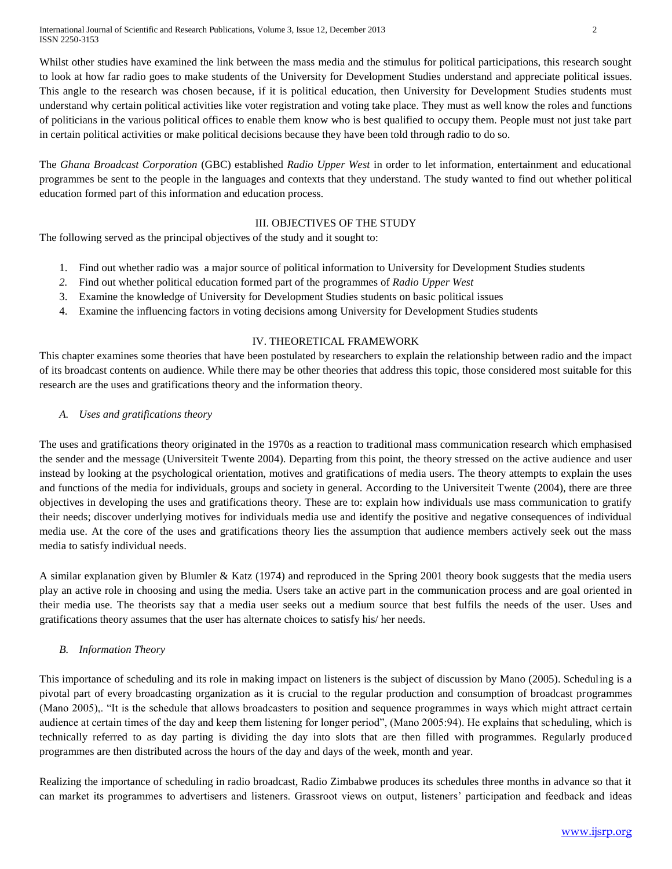International Journal of Scientific and Research Publications, Volume 3, Issue 12, December 2013 2 ISSN 2250-3153

Whilst other studies have examined the link between the mass media and the stimulus for political participations, this research sought to look at how far radio goes to make students of the University for Development Studies understand and appreciate political issues. This angle to the research was chosen because, if it is political education, then University for Development Studies students must understand why certain political activities like voter registration and voting take place. They must as well know the roles and functions of politicians in the various political offices to enable them know who is best qualified to occupy them. People must not just take part in certain political activities or make political decisions because they have been told through radio to do so.

The *Ghana Broadcast Corporation* (GBC) established *Radio Upper West* in order to let information, entertainment and educational programmes be sent to the people in the languages and contexts that they understand. The study wanted to find out whether political education formed part of this information and education process.

## III. OBJECTIVES OF THE STUDY

The following served as the principal objectives of the study and it sought to:

- 1. Find out whether radio was a major source of political information to University for Development Studies students
- *2.* Find out whether political education formed part of the programmes of *Radio Upper West*
- 3. Examine the knowledge of University for Development Studies students on basic political issues
- 4. Examine the influencing factors in voting decisions among University for Development Studies students

#### IV. THEORETICAL FRAMEWORK

This chapter examines some theories that have been postulated by researchers to explain the relationship between radio and the impact of its broadcast contents on audience. While there may be other theories that address this topic, those considered most suitable for this research are the uses and gratifications theory and the information theory.

#### *A. Uses and gratifications theory*

The uses and gratifications theory originated in the 1970s as a reaction to traditional mass communication research which emphasised the sender and the message (Universiteit Twente 2004). Departing from this point, the theory stressed on the active audience and user instead by looking at the psychological orientation, motives and gratifications of media users. The theory attempts to explain the uses and functions of the media for individuals, groups and society in general. According to the Universiteit Twente (2004), there are three objectives in developing the uses and gratifications theory. These are to: explain how individuals use mass communication to gratify their needs; discover underlying motives for individuals media use and identify the positive and negative consequences of individual media use. At the core of the uses and gratifications theory lies the assumption that audience members actively seek out the mass media to satisfy individual needs.

A similar explanation given by Blumler & Katz (1974) and reproduced in the Spring 2001 theory book suggests that the media users play an active role in choosing and using the media. Users take an active part in the communication process and are goal oriented in their media use. The theorists say that a media user seeks out a medium source that best fulfils the needs of the user. Uses and gratifications theory assumes that the user has alternate choices to satisfy his/ her needs.

#### *B. Information Theory*

This importance of scheduling and its role in making impact on listeners is the subject of discussion by Mano (2005). Scheduling is a pivotal part of every broadcasting organization as it is crucial to the regular production and consumption of broadcast programmes (Mano 2005),. "It is the schedule that allows broadcasters to position and sequence programmes in ways which might attract certain audience at certain times of the day and keep them listening for longer period", (Mano 2005:94). He explains that scheduling, which is technically referred to as day parting is dividing the day into slots that are then filled with programmes. Regularly produced programmes are then distributed across the hours of the day and days of the week, month and year.

Realizing the importance of scheduling in radio broadcast, Radio Zimbabwe produces its schedules three months in advance so that it can market its programmes to advertisers and listeners. Grassroot views on output, listeners' participation and feedback and ideas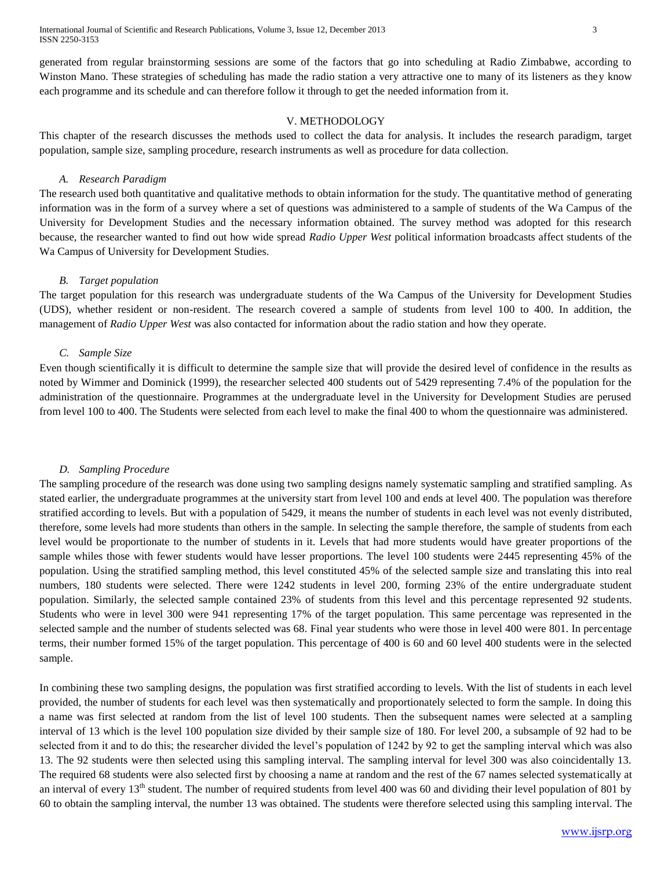generated from regular brainstorming sessions are some of the factors that go into scheduling at Radio Zimbabwe, according to Winston Mano. These strategies of scheduling has made the radio station a very attractive one to many of its listeners as they know each programme and its schedule and can therefore follow it through to get the needed information from it.

#### V. METHODOLOGY

This chapter of the research discusses the methods used to collect the data for analysis. It includes the research paradigm, target population, sample size, sampling procedure, research instruments as well as procedure for data collection.

#### *A. Research Paradigm*

The research used both quantitative and qualitative methods to obtain information for the study. The quantitative method of generating information was in the form of a survey where a set of questions was administered to a sample of students of the Wa Campus of the University for Development Studies and the necessary information obtained. The survey method was adopted for this research because, the researcher wanted to find out how wide spread *Radio Upper West* political information broadcasts affect students of the Wa Campus of University for Development Studies.

#### *B. Target population*

The target population for this research was undergraduate students of the Wa Campus of the University for Development Studies (UDS), whether resident or non-resident. The research covered a sample of students from level 100 to 400. In addition, the management of *Radio Upper West* was also contacted for information about the radio station and how they operate.

#### *C. Sample Size*

Even though scientifically it is difficult to determine the sample size that will provide the desired level of confidence in the results as noted by Wimmer and Dominick (1999), the researcher selected 400 students out of 5429 representing 7.4% of the population for the administration of the questionnaire. Programmes at the undergraduate level in the University for Development Studies are perused from level 100 to 400. The Students were selected from each level to make the final 400 to whom the questionnaire was administered.

#### *D. Sampling Procedure*

The sampling procedure of the research was done using two sampling designs namely systematic sampling and stratified sampling. As stated earlier, the undergraduate programmes at the university start from level 100 and ends at level 400. The population was therefore stratified according to levels. But with a population of 5429, it means the number of students in each level was not evenly distributed, therefore, some levels had more students than others in the sample. In selecting the sample therefore, the sample of students from each level would be proportionate to the number of students in it. Levels that had more students would have greater proportions of the sample whiles those with fewer students would have lesser proportions. The level 100 students were 2445 representing 45% of the population. Using the stratified sampling method, this level constituted 45% of the selected sample size and translating this into real numbers, 180 students were selected. There were 1242 students in level 200, forming 23% of the entire undergraduate student population. Similarly, the selected sample contained 23% of students from this level and this percentage represented 92 students. Students who were in level 300 were 941 representing 17% of the target population. This same percentage was represented in the selected sample and the number of students selected was 68. Final year students who were those in level 400 were 801. In percentage terms, their number formed 15% of the target population. This percentage of 400 is 60 and 60 level 400 students were in the selected sample.

In combining these two sampling designs, the population was first stratified according to levels. With the list of students in each level provided, the number of students for each level was then systematically and proportionately selected to form the sample. In doing this a name was first selected at random from the list of level 100 students. Then the subsequent names were selected at a sampling interval of 13 which is the level 100 population size divided by their sample size of 180. For level 200, a subsample of 92 had to be selected from it and to do this; the researcher divided the level's population of 1242 by 92 to get the sampling interval which was also 13. The 92 students were then selected using this sampling interval. The sampling interval for level 300 was also coincidentally 13. The required 68 students were also selected first by choosing a name at random and the rest of the 67 names selected systematically at an interval of every  $13<sup>th</sup>$  student. The number of required students from level 400 was 60 and dividing their level population of 801 by 60 to obtain the sampling interval, the number 13 was obtained. The students were therefore selected using this sampling interval. The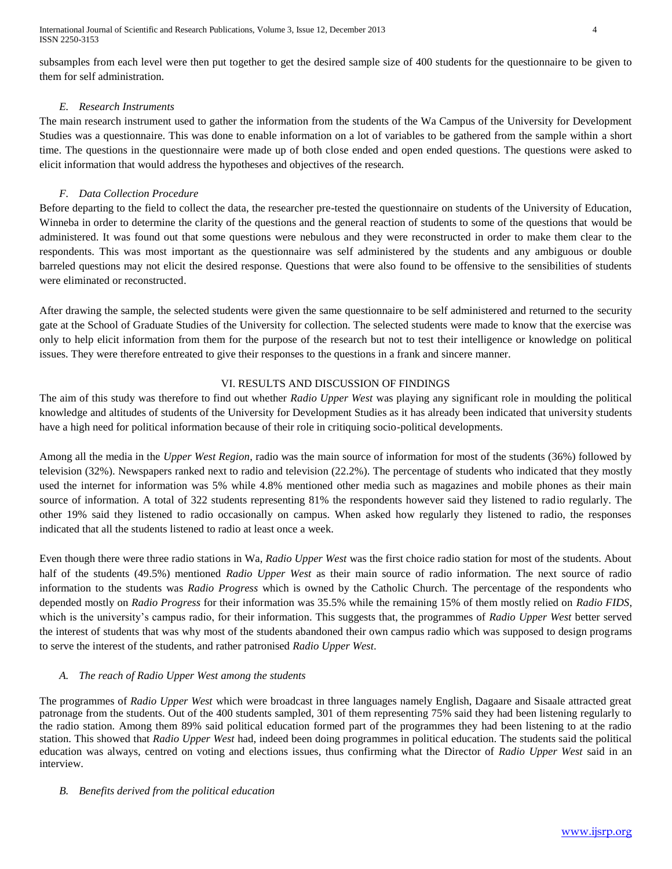International Journal of Scientific and Research Publications, Volume 3, Issue 12, December 2013 4 ISSN 2250-3153

subsamples from each level were then put together to get the desired sample size of 400 students for the questionnaire to be given to them for self administration.

## *E. Research Instruments*

The main research instrument used to gather the information from the students of the Wa Campus of the University for Development Studies was a questionnaire. This was done to enable information on a lot of variables to be gathered from the sample within a short time. The questions in the questionnaire were made up of both close ended and open ended questions. The questions were asked to elicit information that would address the hypotheses and objectives of the research.

## *F. Data Collection Procedure*

Before departing to the field to collect the data, the researcher pre-tested the questionnaire on students of the University of Education, Winneba in order to determine the clarity of the questions and the general reaction of students to some of the questions that would be administered. It was found out that some questions were nebulous and they were reconstructed in order to make them clear to the respondents. This was most important as the questionnaire was self administered by the students and any ambiguous or double barreled questions may not elicit the desired response. Questions that were also found to be offensive to the sensibilities of students were eliminated or reconstructed.

After drawing the sample, the selected students were given the same questionnaire to be self administered and returned to the security gate at the School of Graduate Studies of the University for collection. The selected students were made to know that the exercise was only to help elicit information from them for the purpose of the research but not to test their intelligence or knowledge on political issues. They were therefore entreated to give their responses to the questions in a frank and sincere manner.

## VI. RESULTS AND DISCUSSION OF FINDINGS

The aim of this study was therefore to find out whether *Radio Upper West* was playing any significant role in moulding the political knowledge and altitudes of students of the University for Development Studies as it has already been indicated that university students have a high need for political information because of their role in critiquing socio-political developments.

Among all the media in the *Upper West Region*, radio was the main source of information for most of the students (36%) followed by television (32%). Newspapers ranked next to radio and television (22.2%). The percentage of students who indicated that they mostly used the internet for information was 5% while 4.8% mentioned other media such as magazines and mobile phones as their main source of information. A total of 322 students representing 81% the respondents however said they listened to radio regularly. The other 19% said they listened to radio occasionally on campus. When asked how regularly they listened to radio, the responses indicated that all the students listened to radio at least once a week.

Even though there were three radio stations in Wa, *Radio Upper West* was the first choice radio station for most of the students. About half of the students (49.5%) mentioned *Radio Upper West* as their main source of radio information. The next source of radio information to the students was *Radio Progress* which is owned by the Catholic Church. The percentage of the respondents who depended mostly on *Radio Progress* for their information was 35.5% while the remaining 15% of them mostly relied on *Radio FIDS*, which is the university's campus radio, for their information. This suggests that, the programmes of *Radio Upper West* better served the interest of students that was why most of the students abandoned their own campus radio which was supposed to design programs to serve the interest of the students, and rather patronised *Radio Upper West*.

## *A. The reach of Radio Upper West among the students*

The programmes of *Radio Upper West* which were broadcast in three languages namely English, Dagaare and Sisaale attracted great patronage from the students. Out of the 400 students sampled, 301 of them representing 75% said they had been listening regularly to the radio station. Among them 89% said political education formed part of the programmes they had been listening to at the radio station. This showed that *Radio Upper West* had, indeed been doing programmes in political education. The students said the political education was always, centred on voting and elections issues, thus confirming what the Director of *Radio Upper West* said in an interview.

#### *B. Benefits derived from the political education*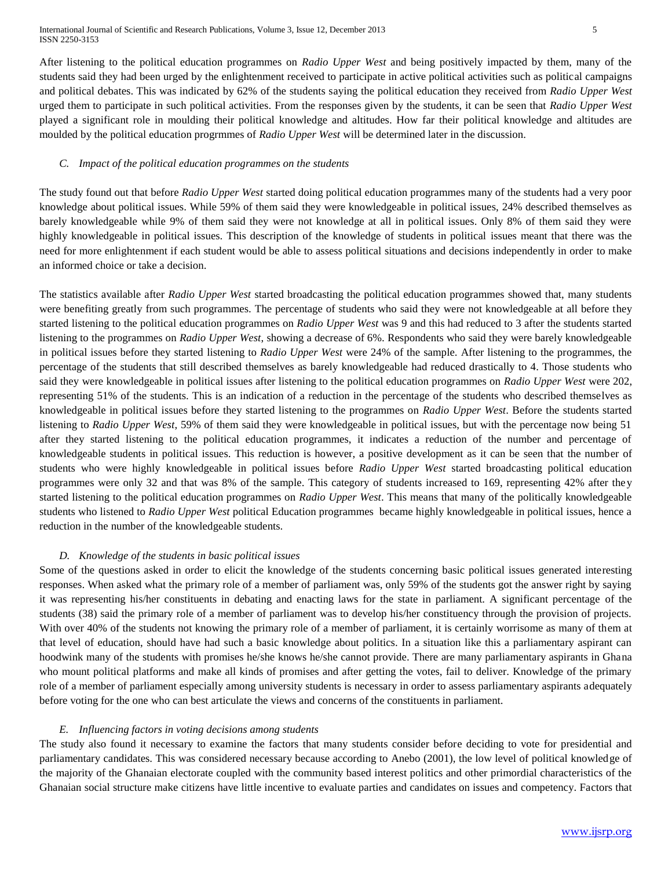International Journal of Scientific and Research Publications, Volume 3, Issue 12, December 2013 5 ISSN 2250-3153

After listening to the political education programmes on *Radio Upper West* and being positively impacted by them, many of the students said they had been urged by the enlightenment received to participate in active political activities such as political campaigns and political debates. This was indicated by 62% of the students saying the political education they received from *Radio Upper West* urged them to participate in such political activities. From the responses given by the students, it can be seen that *Radio Upper West* played a significant role in moulding their political knowledge and altitudes. How far their political knowledge and altitudes are moulded by the political education progrmmes of *Radio Upper West* will be determined later in the discussion.

#### *C. Impact of the political education programmes on the students*

The study found out that before *Radio Upper West* started doing political education programmes many of the students had a very poor knowledge about political issues. While 59% of them said they were knowledgeable in political issues, 24% described themselves as barely knowledgeable while 9% of them said they were not knowledge at all in political issues. Only 8% of them said they were highly knowledgeable in political issues. This description of the knowledge of students in political issues meant that there was the need for more enlightenment if each student would be able to assess political situations and decisions independently in order to make an informed choice or take a decision.

The statistics available after *Radio Upper West* started broadcasting the political education programmes showed that, many students were benefiting greatly from such programmes. The percentage of students who said they were not knowledgeable at all before they started listening to the political education programmes on *Radio Upper West* was 9 and this had reduced to 3 after the students started listening to the programmes on *Radio Upper West*, showing a decrease of 6%. Respondents who said they were barely knowledgeable in political issues before they started listening to *Radio Upper West* were 24% of the sample. After listening to the programmes, the percentage of the students that still described themselves as barely knowledgeable had reduced drastically to 4. Those students who said they were knowledgeable in political issues after listening to the political education programmes on *Radio Upper West* were 202, representing 51% of the students. This is an indication of a reduction in the percentage of the students who described themselves as knowledgeable in political issues before they started listening to the programmes on *Radio Upper West*. Before the students started listening to *Radio Upper West*, 59% of them said they were knowledgeable in political issues, but with the percentage now being 51 after they started listening to the political education programmes, it indicates a reduction of the number and percentage of knowledgeable students in political issues. This reduction is however, a positive development as it can be seen that the number of students who were highly knowledgeable in political issues before *Radio Upper West* started broadcasting political education programmes were only 32 and that was 8% of the sample. This category of students increased to 169, representing 42% after they started listening to the political education programmes on *Radio Upper West*. This means that many of the politically knowledgeable students who listened to *Radio Upper West* political Education programmes became highly knowledgeable in political issues, hence a reduction in the number of the knowledgeable students.

### *D. Knowledge of the students in basic political issues*

Some of the questions asked in order to elicit the knowledge of the students concerning basic political issues generated interesting responses. When asked what the primary role of a member of parliament was, only 59% of the students got the answer right by saying it was representing his/her constituents in debating and enacting laws for the state in parliament. A significant percentage of the students (38) said the primary role of a member of parliament was to develop his/her constituency through the provision of projects. With over 40% of the students not knowing the primary role of a member of parliament, it is certainly worrisome as many of them at that level of education, should have had such a basic knowledge about politics. In a situation like this a parliamentary aspirant can hoodwink many of the students with promises he/she knows he/she cannot provide. There are many parliamentary aspirants in Ghana who mount political platforms and make all kinds of promises and after getting the votes, fail to deliver. Knowledge of the primary role of a member of parliament especially among university students is necessary in order to assess parliamentary aspirants adequately before voting for the one who can best articulate the views and concerns of the constituents in parliament.

#### *E. Influencing factors in voting decisions among students*

The study also found it necessary to examine the factors that many students consider before deciding to vote for presidential and parliamentary candidates. This was considered necessary because according to Anebo (2001), the low level of political knowledge of the majority of the Ghanaian electorate coupled with the community based interest politics and other primordial characteristics of the Ghanaian social structure make citizens have little incentive to evaluate parties and candidates on issues and competency. Factors that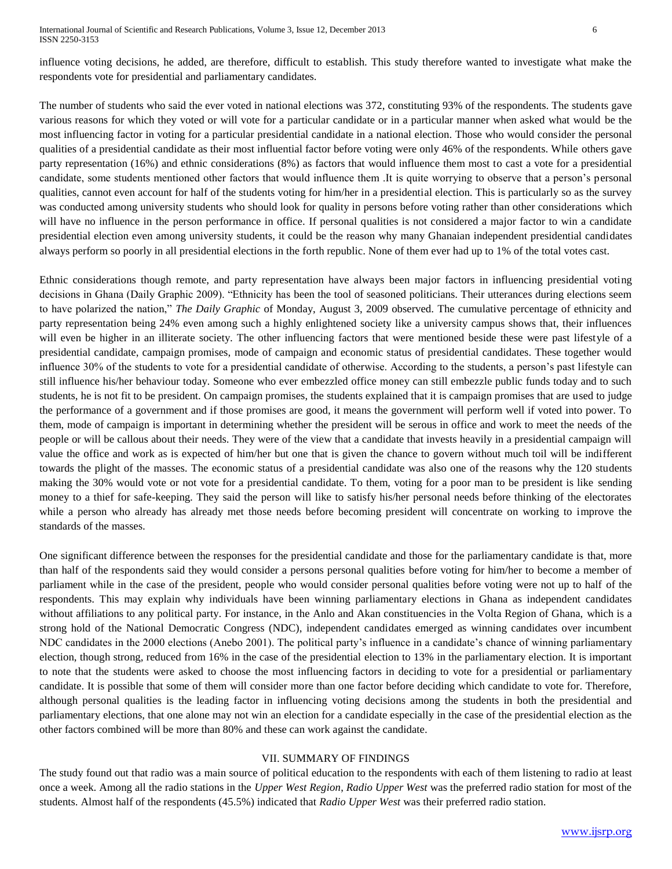influence voting decisions, he added, are therefore, difficult to establish. This study therefore wanted to investigate what make the respondents vote for presidential and parliamentary candidates.

The number of students who said the ever voted in national elections was 372, constituting 93% of the respondents. The students gave various reasons for which they voted or will vote for a particular candidate or in a particular manner when asked what would be the most influencing factor in voting for a particular presidential candidate in a national election. Those who would consider the personal qualities of a presidential candidate as their most influential factor before voting were only 46% of the respondents. While others gave party representation (16%) and ethnic considerations (8%) as factors that would influence them most to cast a vote for a presidential candidate, some students mentioned other factors that would influence them .It is quite worrying to observe that a person's personal qualities, cannot even account for half of the students voting for him/her in a presidential election. This is particularly so as the survey was conducted among university students who should look for quality in persons before voting rather than other considerations which will have no influence in the person performance in office. If personal qualities is not considered a major factor to win a candidate presidential election even among university students, it could be the reason why many Ghanaian independent presidential candidates always perform so poorly in all presidential elections in the forth republic. None of them ever had up to 1% of the total votes cast.

Ethnic considerations though remote, and party representation have always been major factors in influencing presidential voting decisions in Ghana (Daily Graphic 2009). "Ethnicity has been the tool of seasoned politicians. Their utterances during elections seem to have polarized the nation," *The Daily Graphic* of Monday, August 3, 2009 observed. The cumulative percentage of ethnicity and party representation being 24% even among such a highly enlightened society like a university campus shows that, their influences will even be higher in an illiterate society. The other influencing factors that were mentioned beside these were past lifestyle of a presidential candidate, campaign promises, mode of campaign and economic status of presidential candidates. These together would influence 30% of the students to vote for a presidential candidate of otherwise. According to the students, a person's past lifestyle can still influence his/her behaviour today. Someone who ever embezzled office money can still embezzle public funds today and to such students, he is not fit to be president. On campaign promises, the students explained that it is campaign promises that are used to judge the performance of a government and if those promises are good, it means the government will perform well if voted into power. To them, mode of campaign is important in determining whether the president will be serous in office and work to meet the needs of the people or will be callous about their needs. They were of the view that a candidate that invests heavily in a presidential campaign will value the office and work as is expected of him/her but one that is given the chance to govern without much toil will be indifferent towards the plight of the masses. The economic status of a presidential candidate was also one of the reasons why the 120 students making the 30% would vote or not vote for a presidential candidate. To them, voting for a poor man to be president is like sending money to a thief for safe-keeping. They said the person will like to satisfy his/her personal needs before thinking of the electorates while a person who already has already met those needs before becoming president will concentrate on working to improve the standards of the masses.

One significant difference between the responses for the presidential candidate and those for the parliamentary candidate is that, more than half of the respondents said they would consider a persons personal qualities before voting for him/her to become a member of parliament while in the case of the president, people who would consider personal qualities before voting were not up to half of the respondents. This may explain why individuals have been winning parliamentary elections in Ghana as independent candidates without affiliations to any political party. For instance, in the Anlo and Akan constituencies in the Volta Region of Ghana, which is a strong hold of the National Democratic Congress (NDC), independent candidates emerged as winning candidates over incumbent NDC candidates in the 2000 elections (Anebo 2001). The political party's influence in a candidate's chance of winning parliamentary election, though strong, reduced from 16% in the case of the presidential election to 13% in the parliamentary election. It is important to note that the students were asked to choose the most influencing factors in deciding to vote for a presidential or parliamentary candidate. It is possible that some of them will consider more than one factor before deciding which candidate to vote for. Therefore, although personal qualities is the leading factor in influencing voting decisions among the students in both the presidential and parliamentary elections, that one alone may not win an election for a candidate especially in the case of the presidential election as the other factors combined will be more than 80% and these can work against the candidate.

## VII. SUMMARY OF FINDINGS

The study found out that radio was a main source of political education to the respondents with each of them listening to radio at least once a week. Among all the radio stations in the *Upper West Region*, *Radio Upper West* was the preferred radio station for most of the students. Almost half of the respondents (45.5%) indicated that *Radio Upper West* was their preferred radio station.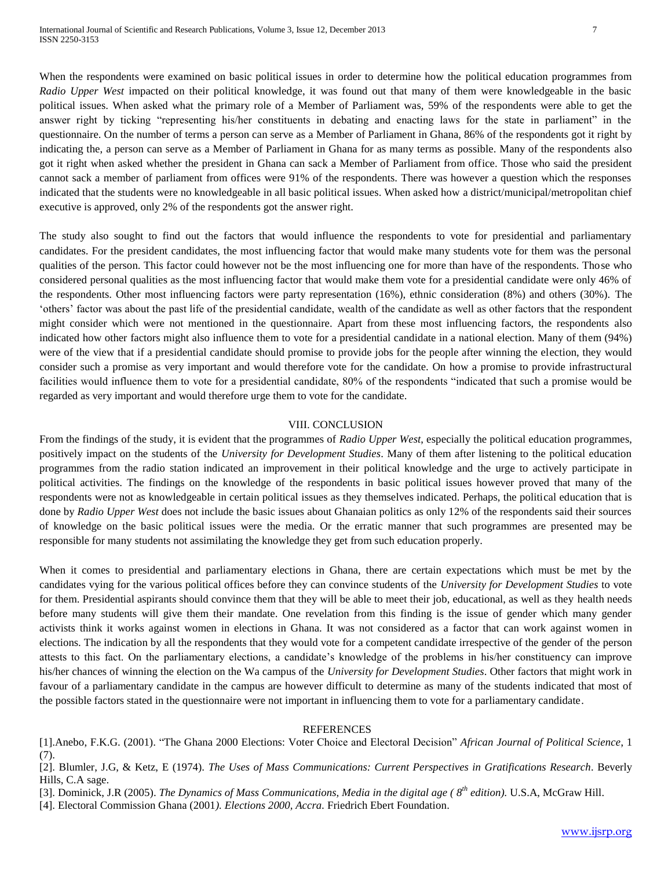When the respondents were examined on basic political issues in order to determine how the political education programmes from *Radio Upper West* impacted on their political knowledge, it was found out that many of them were knowledgeable in the basic political issues. When asked what the primary role of a Member of Parliament was, 59% of the respondents were able to get the answer right by ticking "representing his/her constituents in debating and enacting laws for the state in parliament" in the questionnaire. On the number of terms a person can serve as a Member of Parliament in Ghana, 86% of the respondents got it right by indicating the, a person can serve as a Member of Parliament in Ghana for as many terms as possible. Many of the respondents also got it right when asked whether the president in Ghana can sack a Member of Parliament from office. Those who said the president cannot sack a member of parliament from offices were 91% of the respondents. There was however a question which the responses indicated that the students were no knowledgeable in all basic political issues. When asked how a district/municipal/metropolitan chief executive is approved, only 2% of the respondents got the answer right.

The study also sought to find out the factors that would influence the respondents to vote for presidential and parliamentary candidates. For the president candidates, the most influencing factor that would make many students vote for them was the personal qualities of the person. This factor could however not be the most influencing one for more than have of the respondents. Those who considered personal qualities as the most influencing factor that would make them vote for a presidential candidate were only 46% of the respondents. Other most influencing factors were party representation (16%), ethnic consideration (8%) and others (30%). The 'others' factor was about the past life of the presidential candidate, wealth of the candidate as well as other factors that the respondent might consider which were not mentioned in the questionnaire. Apart from these most influencing factors, the respondents also indicated how other factors might also influence them to vote for a presidential candidate in a national election. Many of them (94%) were of the view that if a presidential candidate should promise to provide jobs for the people after winning the election, they would consider such a promise as very important and would therefore vote for the candidate. On how a promise to provide infrastructural facilities would influence them to vote for a presidential candidate, 80% of the respondents "indicated that such a promise would be regarded as very important and would therefore urge them to vote for the candidate.

#### VIII. CONCLUSION

From the findings of the study, it is evident that the programmes of *Radio Upper West*, especially the political education programmes, positively impact on the students of the *University for Development Studies*. Many of them after listening to the political education programmes from the radio station indicated an improvement in their political knowledge and the urge to actively participate in political activities. The findings on the knowledge of the respondents in basic political issues however proved that many of the respondents were not as knowledgeable in certain political issues as they themselves indicated. Perhaps, the political education that is done by *Radio Upper West* does not include the basic issues about Ghanaian politics as only 12% of the respondents said their sources of knowledge on the basic political issues were the media. Or the erratic manner that such programmes are presented may be responsible for many students not assimilating the knowledge they get from such education properly.

When it comes to presidential and parliamentary elections in Ghana, there are certain expectations which must be met by the candidates vying for the various political offices before they can convince students of the *University for Development Studies* to vote for them. Presidential aspirants should convince them that they will be able to meet their job, educational, as well as they health needs before many students will give them their mandate. One revelation from this finding is the issue of gender which many gender activists think it works against women in elections in Ghana. It was not considered as a factor that can work against women in elections. The indication by all the respondents that they would vote for a competent candidate irrespective of the gender of the person attests to this fact. On the parliamentary elections, a candidate's knowledge of the problems in his/her constituency can improve his/her chances of winning the election on the Wa campus of the *University for Development Studies*. Other factors that might work in favour of a parliamentary candidate in the campus are however difficult to determine as many of the students indicated that most of the possible factors stated in the questionnaire were not important in influencing them to vote for a parliamentary candidate.

#### REFERENCES

[1].Anebo, F.K.G. (2001). "The Ghana 2000 Elections: Voter Choice and Electoral Decision" *African Journal of Political Science*, 1 (7).

[2]. Blumler, J.G, & Ketz, E (1974). *The Uses of Mass Communications: Current Perspectives in Gratifications Research*. Beverly Hills, C.A sage.

[3]. Dominick, J.R (2005). *The Dynamics of Mass Communications, Media in the digital age ( 8 th edition).* U.S.A, McGraw Hill.

[4]. Electoral Commission Ghana (2001*). Elections 2000, Accra.* Friedrich Ebert Foundation.